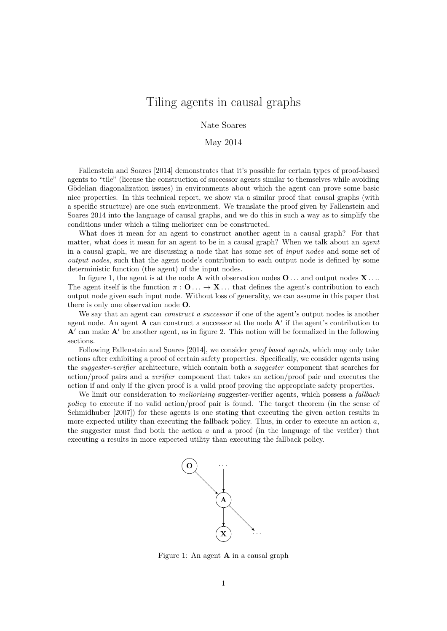## Tiling agents in causal graphs

Nate Soares

#### May 2014

[Fallenstein and Soares](#page-6-0) [\[2014\]](#page-6-0) demonstrates that it's possible for certain types of proof-based agents to "tile" (license the construction of successor agents similar to themselves while avoiding Gödelian diagonalization issues) in environments about which the agent can prove some basic nice properties. In this technical report, we show via a similar proof that causal graphs (with a specific structure) are one such environment. We translate the proof given by Fallenstein and Soares [2014](#page-6-0) into the language of causal graphs, and we do this in such a way as to simplify the conditions under which a tiling meliorizer can be constructed.

What does it mean for an agent to construct another agent in a causal graph? For that matter, what does it mean for an agent to be in a causal graph? When we talk about an *agent* in a causal graph, we are discussing a node that has some set of input nodes and some set of output nodes, such that the agent node's contribution to each output node is defined by some deterministic function (the agent) of the input nodes.

In figure [1,](#page-0-0) the agent is at the node **A** with observation nodes  $\mathbf{O} \dots$  and output nodes  $\mathbf{X} \dots$ The agent itself is the function  $\pi : \mathbf{O} \dots \to \mathbf{X} \dots$  that defines the agent's contribution to each output node given each input node. Without loss of generality, we can assume in this paper that there is only one observation node O.

We say that an agent can *construct a successor* if one of the agent's output nodes is another agent node. An agent  $A$  can construct a successor at the node  $A'$  if the agent's contribution to  $A'$  can make  $A'$  be another agent, as in figure [2.](#page-1-0) This notion will be formalized in the following sections.

Following [Fallenstein and Soares](#page-6-0) [\[2014\]](#page-6-0), we consider proof based agents, which may only take actions after exhibiting a proof of certain safety properties. Specifically, we consider agents using the *suggester-verifier* architecture, which contain both a *suggester* component that searches for action/proof pairs and a verifier component that takes an action/proof pair and executes the action if and only if the given proof is a valid proof proving the appropriate safety properties.

We limit our consideration to *meliorizing* suggester-verifier agents, which possess a *fallback* policy to execute if no valid action/proof pair is found. The target theorem (in the sense of [Schmidhuber](#page-6-1) [\[2007\]](#page-6-1)) for these agents is one stating that executing the given action results in more expected utility than executing the fallback policy. Thus, in order to execute an action  $a$ , the suggester must find both the action  $a$  and a proof (in the language of the verifier) that executing a results in more expected utility than executing the fallback policy.



<span id="page-0-0"></span>Figure 1: An agent A in a causal graph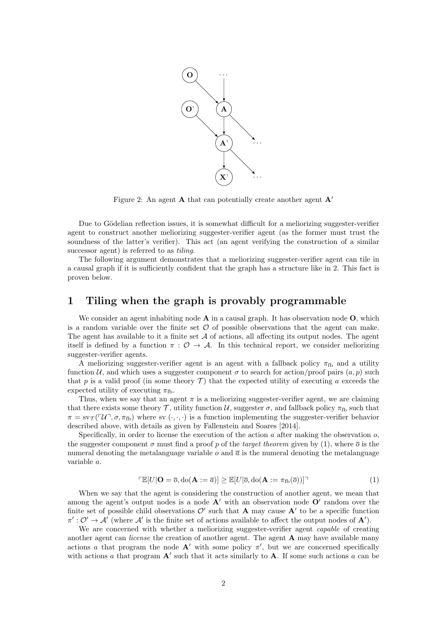

<span id="page-1-0"></span>Figure 2: An agent **A** that can potentially create another agent  $\mathbf{A}$ '

Due to Gödelian reflection issues, it is somewhat difficult for a meliorizing suggester-verifier agent to construct another meliorizing suggester-verifier agent (as the former must trust the soundness of the latter's verifier). This act (an agent verifying the construction of a similar successor agent) is referred to as *tiling*.

The following argument demonstrates that a meliorizing suggester-verifier agent can tile in a causal graph if it is sufficiently confident that the graph has a structure like in [2.](#page-1-0) This fact is proven below.

## 1 Tiling when the graph is provably programmable

We consider an agent inhabiting node  $A$  in a causal graph. It has observation node  $O$ , which is a random variable over the finite set  $\mathcal O$  of possible observations that the agent can make. The agent has available to it a finite set  $A$  of actions, all affecting its output nodes. The agent itself is defined by a function  $\pi$ :  $\mathcal{O} \rightarrow \mathcal{A}$ . In this technical report, we consider meliorizing suggester-verifier agents.

A meliorizing suggester-verifier agent is an agent with a fallback policy  $\pi_{\text{fb}}$  and a utility function U, and which uses a suggester component  $\sigma$  to search for action/proof pairs  $(a, p)$  such that p is a valid proof (in some theory  $\mathcal T$ ) that the expected utility of executing a exceeds the expected utility of executing  $\pi_{\text{fb}}$ .

Thus, when we say that an agent  $\pi$  is a meliorizing suggester-verifier agent, we are claiming that there exists some theory  $\mathcal{T}$ , utility function  $\mathcal{U}$ , suggester  $\sigma$ , and fallback policy  $\pi_{\text{fb}}$  such that  $\pi = \text{sv}_{\mathcal{T}}(\ulcorner \mathcal{U} \urcorner, \sigma, \pi_{\text{fb}})$  where sv.( $\cdot, \cdot, \cdot$ ) is a function implementing the suggester-verifier behavior described above, with details as given by [Fallenstein and Soares](#page-6-0) [\[2014\]](#page-6-0).

Specifically, in order to license the execution of the action  $a$  after making the observation  $o$ , the suggester component  $\sigma$  must find a proof p of the target theorem given by [\(1\)](#page-1-1), where  $\bar{\sigma}$  is the numeral denoting the metalanguage variable  $o$  and  $\bar{a}$  is the numeral denoting the metalanguage variable a.

<span id="page-1-1"></span>
$$
\mathbb{E}[U|\mathbf{O}=\overline{o},\mathrm{do}(\mathbf{A}:=\overline{a})] \ge \mathbb{E}[U|\overline{o},\mathrm{do}(\mathbf{A}:=\pi_{\mathrm{fb}}(\overline{o}))]^\top
$$
\n(1)

When we say that the agent is considering the construction of another agent, we mean that among the agent's output nodes is a node  $A'$  with an observation node  $O'$  random over the finite set of possible child observations  $\mathcal{O}'$  such that **A** may cause **A**' to be a specific function  $\pi': \mathcal{O}' \to \mathcal{A}'$  (where  $\mathcal{A}'$  is the finite set of actions available to affect the output nodes of  $\mathbf{A}'$ ).

We are concerned with whether a meliorizing suggester-verifier agent *capable* of creating another agent can *license* the creation of another agent. The agent **A** may have available many actions a that program the node  $A'$  with some policy  $\pi'$ , but we are concerned specifically with actions  $a$  that program  $A'$  such that it acts similarly to  $A$ . If some such actions  $a$  can be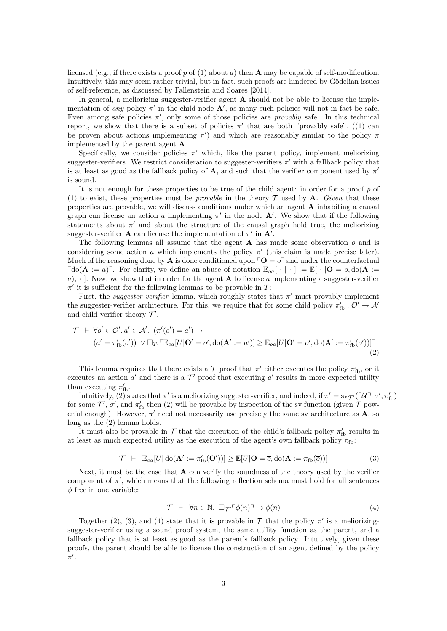licensed (e.g., if there exists a proof p of [\(1\)](#page-1-1) about a) then **A** may be capable of self-modification. Intuitively, this may seem rather trivial, but in fact, such proofs are hindered by Gödelian issues of self-reference, as discussed by [Fallenstein and Soares](#page-6-0) [\[2014\]](#page-6-0).

In general, a meliorizing suggester-verifier agent  $A$  should not be able to license the implementation of any policy  $\pi'$  in the child node  $\mathbf{A}'$ , as many such policies will not in fact be safe. Even among safe policies  $\pi'$ , only some of those policies are *provably* safe. In this technical report, we show that there is a subset of policies  $\pi'$  that are both "provably safe", ([\(1\)](#page-1-1) can be proven about actions implementing  $\pi'$ ) and which are reasonably similar to the policy  $\pi$ implemented by the parent agent A.

Specifically, we consider policies  $\pi'$  which, like the parent policy, implement meliorizing suggester-verifiers. We restrict consideration to suggester-verifiers  $\pi'$  with a fallback policy that is at least as good as the fallback policy of **A**, and such that the verifier component used by  $\pi'$ is sound.

It is not enough for these properties to be true of the child agent: in order for a proof  $p$  of [\(1\)](#page-1-1) to exist, these properties must be *provable* in the theory  $\mathcal T$  used by **A**. Given that these properties are provable, we will discuss conditions under which an agent A inhabiting a causal graph can license an action a implementing  $\pi'$  in the node **A'**. We show that if the following statements about  $\pi'$  and about the structure of the causal graph hold true, the meliorizing suggester-verifier **A** can license the implementation of  $\pi'$  in **A'**.

The following lemmas all assume that the agent  $A$  has made some observation  $o$  and is considering some action a which implements the policy  $\pi'$  (this claim is made precise later). Much of the reasoning done by **A** is done conditioned upon  $\ulcorner \mathbf{O} = \overline{\mathfrak{O}} \urcorner$  and under the counterfactual  $\lceil \text{do}(\mathbf{A} := \overline{a}) \rceil$ . For clarity, we define an abuse of notation  $\mathbb{E}_{oa}[\cdot | \cdot] := \mathbb{E}[\cdot | \mathbf{O} = \overline{o}, \text{do}(\mathbf{A} := \overline{a})]$  $\overline{a}$ ,  $\cdot$ ]. Now, we show that in order for the agent **A** to license a implementing a suggester-verifier  $\pi'$  it is sufficient for the following lemmas to be provable in T:

First, the *suggester verifier* lemma, which roughly states that  $\pi'$  must provably implement the suggester-verifier architecture. For this, we require that for some child policy  $\pi'_{\text{fb}} : \mathcal{O}' \to \mathcal{A}'$ and child verifier theory  $\mathcal{T}'$ ,

$$
\mathcal{T} \vdash \forall o' \in \mathcal{O}', a' \in \mathcal{A}'. (\pi'(o') = a') \rightarrow
$$
  
\n
$$
(a' = \pi'_{\text{fb}}(o')) \lor \Box_{T'} \ulcorner \mathbb{E}_{oa}[U|\mathbf{O}' = \overline{o'}, \text{do}(\mathbf{A}': = \overline{a'})] \geq \mathbb{E}_{oa}[U|\mathbf{O}' = \overline{o'}, \text{do}(\mathbf{A}': = \pi'_{\text{fb}}(\overline{o'}))] \urcorner
$$
\n(2)

This lemma requires that there exists a  $\mathcal T$  proof that  $\pi'$  either executes the policy  $\pi'_{\text{fb}}$ , or it executes an action  $a'$  and there is a  $\mathcal{T}'$  proof that executing  $a'$  results in more expected utility than executing  $\pi'_{\text{fb}}$ .

Intuitively, [\(2\)](#page-2-0) states that  $\pi'$  is a meliorizing suggester-verifier, and indeed, if  $\pi' = s v_{\mathcal{T}'}(\ulcorner \mathcal{U} \urcorner, \sigma', \pi'_{\text{fb}})$ for some  $\mathcal{T}'$ ,  $\sigma'$ , and  $\pi'_{\text{fb}}$  then [\(2\)](#page-2-0) will be provable by inspection of the sv function (given  $\mathcal T$  powerful enough). However,  $\pi'$  need not necessarily use precisely the same sv architecture as A, so long as the [\(2\)](#page-2-0) lemma holds.

It must also be provable in  $\mathcal T$  that the execution of the child's fallback policy  $\pi'_{\text{fb}}$  results in at least as much expected utility as the execution of the agent's own fallback policy  $\pi_{\text{fb}}$ :

<span id="page-2-1"></span>
$$
\mathcal{T} \ \vdash \ \mathbb{E}_{oa}[U] \operatorname{do}(\mathbf{A}' := \pi'_{\text{fb}}(\mathbf{O}'))] \ge \mathbb{E}[U|\mathbf{O} = \overline{o}, \operatorname{do}(\mathbf{A} := \pi_{\text{fb}}(\overline{o}))]
$$
(3)

Next, it must be the case that **A** can verify the soundness of the theory used by the verifier component of  $\pi'$ , which means that the following reflection schema must hold for all sentences  $\phi$  free in one variable:

<span id="page-2-2"></span><span id="page-2-0"></span>
$$
\mathcal{T} \vdash \forall n \in \mathbb{N}. \; \Box_{\mathcal{T}'} \ulcorner \phi(\overline{n}) \urcorner \to \phi(n) \tag{4}
$$

Together [\(2\)](#page-2-0), [\(3\)](#page-2-1), and [\(4\)](#page-2-2) state that it is provable in  $\mathcal T$  that the policy  $\pi'$  is a meliorizingsuggester-verifier using a sound proof system, the same utility function as the parent, and a fallback policy that is at least as good as the parent's fallback policy. Intuitively, given these proofs, the parent should be able to license the construction of an agent defined by the policy  $\pi'$ .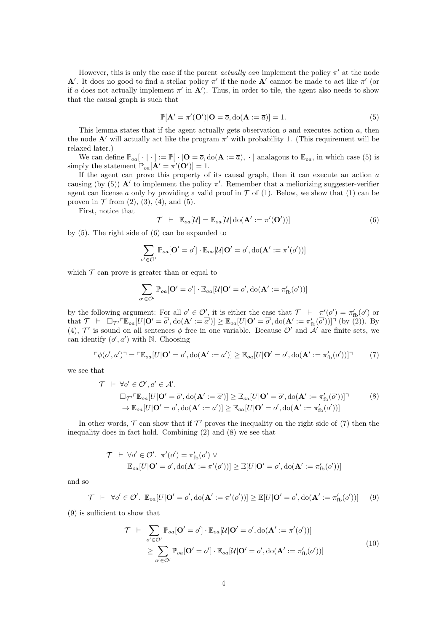However, this is only the case if the parent *actually can* implement the policy  $\pi'$  at the node **A'**. It does no good to find a stellar policy  $\pi'$  if the node **A'** cannot be made to act like  $\pi'$  (or if a does not actually implement  $\pi'$  in  $\mathbf{A}'$ ). Thus, in order to tile, the agent also needs to show that the causal graph is such that

<span id="page-3-0"></span>
$$
\mathbb{P}[\mathbf{A}' = \pi'(\mathbf{O}')|\mathbf{O} = \overline{o}, \text{do}(\mathbf{A} := \overline{a})] = 1.
$$
 (5)

This lemma states that if the agent actually gets observation  $o$  and executes action  $a$ , then the node  $\mathbf{A}'$  will actually act like the program  $\pi'$  with probability 1. (This requirement will be relaxed later.)

We can define  $\mathbb{P}_{oa}[\cdot | \cdot] := \mathbb{P}[\cdot | \mathbf{O} = \overline{o}, \text{do}(\mathbf{A} := \overline{a}), \cdot]$  analagous to  $\mathbb{E}_{oa}$ , in which case [\(5\)](#page-3-0) is simply the statement  $\mathbb{P}_{oa}[\mathbf{A}' = \pi'(\mathbf{O}')] = 1$ .

If the agent can prove this property of its causal graph, then it can execute an action  $a$ causing (by [\(5\)](#page-3-0))  $\mathbf{A}'$  to implement the policy  $\pi'$ . Remember that a meliorizing suggester-verifier agent can license a only by providing a valid proof in  $\mathcal T$  of [\(1\)](#page-1-1). Below, we show that (1) can be proven in  $T$  from  $(2)$ ,  $(3)$ ,  $(4)$ , and  $(5)$ .

First, notice that

<span id="page-3-1"></span>
$$
\mathcal{T} \ \vdash \ \mathbb{E}_{oa}[\mathcal{U}] = \mathbb{E}_{oa}[\mathcal{U}|\operatorname{do}(\mathbf{A}':=\pi'(\mathbf{O}'))]
$$
\n(6)

by [\(5\)](#page-3-0). The right side of [\(6\)](#page-3-1) can be expanded to

$$
\sum_{o' \in \mathcal{O}'} \mathbb{P}_{oa}[\mathbf{O}' = o'] \cdot \mathbb{E}_{oa}[\mathcal{U}|\mathbf{O}' = o', \text{do}(\mathbf{A}': = \pi'(o'))]
$$

which  $\mathcal T$  can prove is greater than or equal to

<span id="page-3-3"></span>
$$
\sum_{o' \in \mathcal{O}'} \mathbb{P}_{oa}[\mathbf{O}' = o'] \cdot \mathbb{E}_{oa}[\mathcal{U}|\mathbf{O}' = o', \text{do}(\mathbf{A}': = \pi'_{\text{fb}}(o'))]
$$

by the following argument: For all  $o' \in \mathcal{O}'$ , it is either the case that  $\mathcal{T} \vdash \pi'(o') = \pi'_{\text{fb}}(o')$  or that  $\mathcal{T} \ \vdash \ \Box_{\mathcal{T}'} \ulcorner \mathbb{E}_{oa}[U|O' = \overline{o'}, \text{do}(\mathbf{A}':=\overline{a'})] \geq \mathbb{E}_{oa}[U|O' = \overline{o'}, \text{do}(\mathbf{A}':=\pi'_{\text{fb}}(\overline{o'}))] \urcorner \text{ (by (2))}.$  $\mathcal{T} \ \vdash \ \Box_{\mathcal{T}'} \ulcorner \mathbb{E}_{oa}[U|O' = \overline{o'}, \text{do}(\mathbf{A}':=\overline{a'})] \geq \mathbb{E}_{oa}[U|O' = \overline{o'}, \text{do}(\mathbf{A}':=\pi'_{\text{fb}}(\overline{o'}))] \urcorner \text{ (by (2))}.$  $\mathcal{T} \ \vdash \ \Box_{\mathcal{T}'} \ulcorner \mathbb{E}_{oa}[U|O' = \overline{o'}, \text{do}(\mathbf{A}':=\overline{a'})] \geq \mathbb{E}_{oa}[U|O' = \overline{o'}, \text{do}(\mathbf{A}':=\pi'_{\text{fb}}(\overline{o'}))] \urcorner \text{ (by (2))}.$  By [\(4\)](#page-2-2),  $\mathcal{T}'$  is sound on all sentences  $\phi$  free in one variable. Because  $\mathcal{O}'$  and  $\mathcal{A}'$  are finite sets, we can identify  $(o', a')$  with N. Choosing

<span id="page-3-2"></span>
$$
\ulcorner \phi(o', a') \urcorner = \ulcorner \mathbb{E}_{oa}[U | \mathbf{O}' = o', \mathrm{do}(\mathbf{A}':= a')] \geq \mathbb{E}_{oa}[U | \mathbf{O}' = o', \mathrm{do}(\mathbf{A}':= \pi'_{\mathrm{fb}}(o'))] \urcorner
$$
 (7)

we see that

$$
\mathcal{T} \vdash \forall o' \in \mathcal{O}', a' \in \mathcal{A}'.
$$
  
\n
$$
\Box_{\mathcal{T}'} \mathbb{E}_{oa}[U|\mathbf{O}' = \overline{o'}, \text{do}(\mathbf{A}':=\overline{a'})] \geq \mathbb{E}_{oa}[U|\mathbf{O}' = \overline{o'}, \text{do}(\mathbf{A}':=\pi'_{\text{fb}}(\overline{o'}))] \qquad (8)
$$
  
\n
$$
\rightarrow \mathbb{E}_{oa}[U|\mathbf{O}' = o', \text{do}(\mathbf{A}':=a')] \geq \mathbb{E}_{oa}[U|\mathbf{O}' = o', \text{do}(\mathbf{A}':=\pi'_{\text{fb}}(o'))]
$$

In other words,  $\mathcal T$  can show that if  $\mathcal T'$  proves the inequality on the right side of [\(7\)](#page-3-2) then the inequality does in fact hold. Combining [\(2\)](#page-2-0) and [\(8\)](#page-3-3) we see that

$$
\begin{aligned}\n\mathcal{T} \quad & \vdash \ \forall o' \in \mathcal{O}'.\ \pi'(o') = \pi'_{\text{fb}}(o') \ \vee \\
& \mathbb{E}_{oa}[U|\mathbf{O}' = o', \text{do}(\mathbf{A}':=\pi'(o'))] \geq \mathbb{E}[U|\mathbf{O}' = o', \text{do}(\mathbf{A}':=\pi'_{\text{fb}}(o'))]\n\end{aligned}
$$

and so

<span id="page-3-4"></span>
$$
\mathcal{T} \ \vdash \ \ \forall o' \in \mathcal{O}'. \ \ \mathbb{E}_{oa}[U|\mathbf{O}' = o', \mathrm{do}(\mathbf{A}':=\pi'(o'))] \geq \mathbb{E}[U|\mathbf{O}' = o', \mathrm{do}(\mathbf{A}':=\pi'_{\mathrm{fb}}(o'))] \tag{9}
$$

[\(9\)](#page-3-4) is sufficient to show that

<span id="page-3-5"></span>
$$
\mathcal{T} \vdash \sum_{o' \in \mathcal{O}'} \mathbb{P}_{oa}[\mathbf{O}' = o'] \cdot \mathbb{E}_{oa}[\mathcal{U}|\mathbf{O}' = o', \text{do}(\mathbf{A}': = \pi'(o'))]
$$
\n
$$
\geq \sum_{o' \in \mathcal{O}'} \mathbb{P}_{oa}[\mathbf{O}' = o'] \cdot \mathbb{E}_{oa}[\mathcal{U}|\mathbf{O}' = o', \text{do}(\mathbf{A}': = \pi'_{fb}(o'))]
$$
\n(10)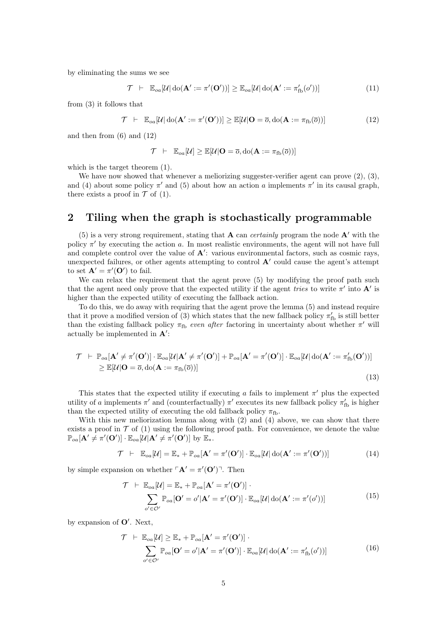by eliminating the sums we see

$$
\mathcal{T} \ \vdash \ \mathbb{E}_{oa}[\mathcal{U}|\operatorname{do}(\mathbf{A}':=\pi'(\mathbf{O}'))] \geq \mathbb{E}_{oa}[\mathcal{U}|\operatorname{do}(\mathbf{A}':=\pi'_{\operatorname{fb}}(o'))]
$$
(11)

from [\(3\)](#page-2-1) it follows that

<span id="page-4-0"></span>
$$
\mathcal{T} \ \vdash \ \mathbb{E}_{oa}[\mathcal{U}|\operatorname{do}(\mathbf{A}':=\pi'(\mathbf{O}'))] \geq \mathbb{E}[\mathcal{U}|\mathbf{O}=\overline{o}, \operatorname{do}(\mathbf{A}:=\pi_{\text{fb}}(\overline{o}))]
$$
(12)

and then from [\(6\)](#page-3-1) and [\(12\)](#page-4-0)

$$
\mathcal{T} \;\; \vdash \;\; \mathbb{E}_{oa}[\mathcal{U}] \geq \mathbb{E}[\mathcal{U}|\mathbf{O} = \overline{o}, \mathrm{do}(\mathbf{A} := \pi_{\mathrm{fb}}(\overline{o}))]
$$

which is the target theorem [\(1\)](#page-1-1).

We have now showed that whenever a meliorizing suggester-verifier agent can prove  $(2), (3),$  $(2), (3),$  $(2), (3),$  $(2), (3),$ and [\(4\)](#page-2-2) about some policy  $\pi'$  and [\(5\)](#page-3-0) about how an action a implements  $\pi'$  in its causal graph, there exists a proof in  $\mathcal T$  of [\(1\)](#page-1-1).

### 2 Tiling when the graph is stochastically programmable

[\(5\)](#page-3-0) is a very strong requirement, stating that **A** can *certainly* program the node **A'** with the policy  $\pi'$  by executing the action a. In most realistic environments, the agent will not have full and complete control over the value of  $A'$ : various environmental factors, such as cosmic rays, unexpected failures, or other agents attempting to control  $A'$  could cause the agent's attempt to set  $\mathbf{A}' = \pi'(\mathbf{O}')$  to fail.

We can relax the requirement that the agent prove [\(5\)](#page-3-0) by modifying the proof path such that the agent need only prove that the expected utility if the agent tries to write  $\pi'$  into  $\mathbf{A}'$  is higher than the expected utility of executing the fallback action.

To do this, we do away with requiring that the agent prove the lemma [\(5\)](#page-3-0) and instead require that it prove a modified version of [\(3\)](#page-2-1) which states that the new fallback policy  $\pi'_{\text{fb}}$  is still better than the existing fallback policy  $\pi_{\text{fb}}$  even after factoring in uncertainty about whether  $\pi'$  will actually be implemented in  $A'$ :

$$
\mathcal{T} \vdash \mathbb{P}_{oa}[\mathbf{A}' \neq \pi'(\mathbf{O}')] \cdot \mathbb{E}_{oa}[\mathcal{U}|\mathbf{A}' \neq \pi'(\mathbf{O}')] + \mathbb{P}_{oa}[\mathbf{A}' = \pi'(\mathbf{O}')] \cdot \mathbb{E}_{oa}[\mathcal{U}|\text{do}(\mathbf{A}':=\pi'_{fb}(\mathbf{O}'))]
$$
  
\n
$$
\geq \mathbb{E}[\mathcal{U}|\mathbf{O} = \overline{o}, \text{do}(\mathbf{A} := \pi_{fb}(\overline{o}))]
$$
\n(13)

This states that the expected utility if executing a fails to implement  $\pi'$  plus the expected utility of a implements  $\pi'$  and (counterfactually)  $\pi'$  executes its new fallback policy  $\pi'_{\text{fb}}$  is higher than the expected utility of executing the old fallback policy  $\pi_{\text{fb}}$ .

With this new meliorization lemma along with [\(2\)](#page-2-0) and [\(4\)](#page-2-2) above, we can show that there exists a proof in  $\mathcal T$  of [\(1\)](#page-1-1) using the following proof path. For convenience, we denote the value  $\mathbb{P}_{oa}[\mathbf{A}' \neq \pi'(\mathbf{O}')] \cdot \mathbb{E}_{oa}[\mathcal{U}|\mathbf{A}' \neq \pi'(\mathbf{O}')]$  by  $\mathbb{E}_*.$ 

<span id="page-4-1"></span>
$$
\mathcal{T} \ \vdash \ \mathbb{E}_{oa}[\mathcal{U}] = \mathbb{E}_* + \mathbb{P}_{oa}[\mathbf{A}' = \pi'(\mathbf{O}')] \cdot \mathbb{E}_{oa}[\mathcal{U}|\operatorname{do}(\mathbf{A}':=\pi'(\mathbf{O}'))]
$$
(14)

by simple expansion on whether  $\ulcorner \mathbf{A}' = \pi'(\mathbf{O}') \urcorner$ . Then

$$
\mathcal{T} \vdash \mathbb{E}_{oa}[\mathcal{U}] = \mathbb{E}_* + \mathbb{P}_{oa}[\mathbf{A}' = \pi'(\mathbf{O}')] \cdot \sum_{o' \in \mathcal{O}'} \mathbb{P}_{oa}[\mathbf{O}' = o'|\mathbf{A}' = \pi'(\mathbf{O}')] \cdot \mathbb{E}_{oa}[\mathcal{U}|\text{do}(\mathbf{A}': = \pi'(o'))]
$$
(15)

by expansion of  $O'$ . Next,

$$
\mathcal{T} \vdash \mathbb{E}_{oa}[\mathcal{U}] \geq \mathbb{E}_* + \mathbb{P}_{oa}[\mathbf{A}' = \pi'(\mathbf{O}')] \cdot \sum_{o' \in \mathcal{O}'} \mathbb{P}_{oa}[\mathbf{O}' = o'|\mathbf{A}' = \pi'(\mathbf{O}')] \cdot \mathbb{E}_{oa}[\mathcal{U}|\text{do}(\mathbf{A}': = \pi'_{\text{fb}}(o'))]
$$
(16)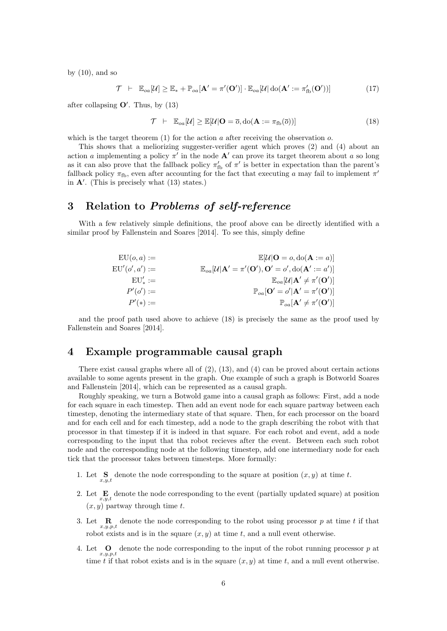by  $(10)$ , and so

 $\mathcal{T} \;\;\vdash\;\; \mathbb{E}_{oa}[\mathcal{U}] \geq \mathbb{E}_* + \mathbb{P}_{oa}[\mathbf{A}' = \pi'(\mathbf{O}')] \cdot \mathbb{E}_{oa}[\mathcal{U}] \: \mathrm{do}(\mathbf{A}':=\pi'_{\text{fb}}(\mathbf{O}')$  $(17)$ 

after collapsing  $O'$ . Thus, by [\(13\)](#page-4-1)

<span id="page-5-0"></span>
$$
\mathcal{T} \ \vdash \ \mathbb{E}_{oa}[\mathcal{U}] \geq \mathbb{E}[\mathcal{U}|\mathbf{O} = \overline{o}, \text{do}(\mathbf{A} := \pi_{\text{fb}}(\overline{o}))]
$$
\n(18)

which is the target theorem  $(1)$  for the action a after receiving the observation o.

This shows that a meliorizing suggester-verifier agent which proves [\(2\)](#page-2-0) and [\(4\)](#page-2-2) about an action a implementing a policy  $\pi'$  in the node  $\mathbf{A}'$  can prove its target theorem about a so long as it can also prove that the fallback policy  $\pi'_{\text{fb}}$  of  $\pi'$  is better in expectation than the parent's fallback policy  $\pi_{\text{fb}}$ , even after accounting for the fact that executing a may fail to implement  $\pi'$ in  $A'$ . (This is precisely what  $(13)$  states.)

# 3 Relation to Problems of self-reference

With a few relatively simple definitions, the proof above can be directly identified with a similar proof by [Fallenstein and Soares](#page-6-0) [\[2014\]](#page-6-0). To see this, simply define

| $EU(o,a) :=$    | $\mathbb{E}[\mathcal{U} \mathbf{O}=o,\mathrm{do}(\mathbf{A}:=a)]$                                            |
|-----------------|--------------------------------------------------------------------------------------------------------------|
| $EU'(o',a') :=$ | $\mathbb{E}_{oa}[\mathcal{U} \mathbf{A}' = \pi'(\mathbf{O}'), \mathbf{O}' = o', \text{do}(\mathbf{A}':=a')]$ |
| $EU'_* :=$      | $\mathbb{E}_{oa}[\mathcal{U} \mathbf{A}' \neq \pi'(\mathbf{O}')]$                                            |
| $P'(o') :=$     | $\mathbb{P}_{oa}[\mathbf{O}'=o' \mathbf{A}'=\pi'(\mathbf{O}')]$                                              |
| $P'(*) :=$      | $\mathbb{P}_{oa}[\mathbf{A}' \neq \pi'(\mathbf{O}')]$                                                        |

and the proof path used above to achieve [\(18\)](#page-5-0) is precisely the same as the proof used by [Fallenstein and Soares](#page-6-0) [\[2014\]](#page-6-0).

## 4 Example programmable causal graph

There exist causal graphs where all of  $(2)$ ,  $(13)$ , and  $(4)$  can be proved about certain actions available to some agents present in the graph. One example of such a graph is Botworld [Soares](#page-6-2) [and Fallenstein](#page-6-2) [\[2014\]](#page-6-2), which can be represented as a causal graph.

Roughly speaking, we turn a Botwold game into a causal graph as follows: First, add a node for each square in each timestep. Then add an event node for each square partway between each timestep, denoting the intermediary state of that square. Then, for each processor on the board and for each cell and for each timestep, add a node to the graph describing the robot with that processor in that timestep if it is indeed in that square. For each robot and event, add a node corresponding to the input that tha robot recieves after the event. Between each such robot node and the corresponding node at the following timestep, add one intermediary node for each tick that the processor takes between timesteps. More formally:

- 1. Let  $\mathbf{S}_{x,y,t}$  denote the node corresponding to the square at position  $(x, y)$  at time t.
- 2. Let  $\mathbf{E}_{x,y,t}$  denote the node corresponding to the event (partially updated square) at position  $(x, y)$  partway through time t.
- 3. Let  $\mathbb{R}_{x,y,p,t}$  denote the node corresponding to the robot using processor p at time t if that robot exists and is in the square  $(x, y)$  at time t, and a null event otherwise.
- 4. Let  $\mathbf{Q}_{x,y,p,t}$  denote the node corresponding to the input of the robot running processor p at time t if that robot exists and is in the square  $(x, y)$  at time t, and a null event otherwise.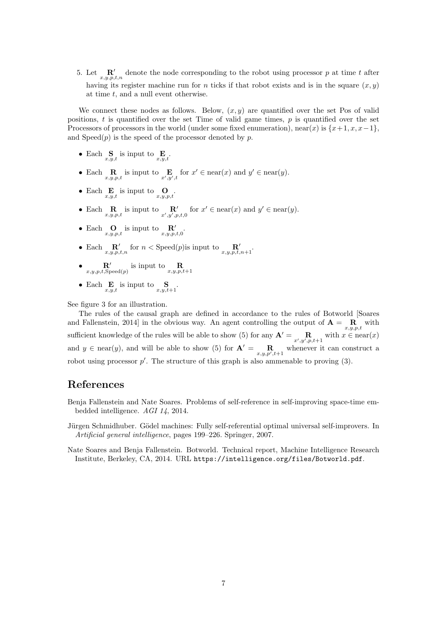5. Let  $\mathbf{R}'$  denote the node corresponding to the robot using processor p at time t after having its register machine run for n ticks if that robot exists and is in the square  $(x, y)$ at time  $t$ , and a null event otherwise.

We connect these nodes as follows. Below,  $(x, y)$  are quantified over the set Pos of valid positions,  $t$  is quantified over the set Time of valid game times,  $p$  is quantified over the set Processors of processors in the world (under some fixed enumeration), near(x) is  $\{x+1, x, x-1\}$ , and  $Speed(p)$  is the speed of the processor denoted by p.

- Each  $\mathbf{S}_{x,y,t}$  is input to  $\mathbf{E}_{x,y,t}$ .
- Each  $\mathbb{R}_{x,y,p,t}$  is input to  $\mathbb{E}_{x',y',t}$  for  $x' \in \text{near}(x)$  and  $y' \in \text{near}(y)$ .
- Each  $\mathbf{E}_{x,y,t}$  is input to  $\mathbf{O}_{x,y,p,t}$ .
- Each  $\mathbb{R}_{x,y,p,t}$  is input to  $\mathbb{R}'_{x',y',p,t,0}$  for  $x' \in \text{near}(x)$  and  $y' \in \text{near}(y)$ .
- Each  $\mathbf{O}_{x,y,p,t}$  is input to  $\mathbf{R}'_{x,y,p,t,0}$ .
- Each  $\mathbb{R}'$  for  $n <$  Speed(*p*) is input to  $\mathbb{R}'$ <sub>*x*,*y*,*p*,*t*,*n*+1</sub>.
- $\mathbf{R}'$  is input to  $\mathbf{R}_{x,y,p,t,\text{Speed}(p)}$
- Each  $\mathbf{E}_{x,y,t}$  is input to  $\mathbf{S}_{x,y,t+1}$ .

See figure [3](#page-7-0) for an illustration.

The rules of the causal graph are defined in accordance to the rules of Botworld [\[Soares](#page-6-2) [and Fallenstein, 2014\]](#page-6-2) in the obvious way. An agent controlling the output of  $\mathbf{A} = \mathbf{R}_{x,y,p,t}$  with sufficient knowledge of the rules will be able to show [\(5\)](#page-3-0) for any  $\mathbf{A}' = \mathbf{R}_{x',y',p,t+1}$  with  $x \in \text{near}(x)$ and  $y \in \text{near}(y)$ , and will be able to show [\(5\)](#page-3-0) for  $\mathbf{A}' = \mathbf{R}_{x,y,p',t+1}$  whenever it can construct a robot using processor  $p'$ . The structure of this graph is also ammenable to proving  $(3)$ .

## References

- <span id="page-6-0"></span>Benja Fallenstein and Nate Soares. Problems of self-reference in self-improving space-time embedded intelligence. AGI 14, 2014.
- <span id="page-6-1"></span>Jürgen Schmidhuber. Gödel machines: Fully self-referential optimal universal self-improvers. In Artificial general intelligence, pages 199–226. Springer, 2007.
- <span id="page-6-2"></span>Nate Soares and Benja Fallenstein. Botworld. Technical report, Machine Intelligence Research Institute, Berkeley, CA, 2014. URL <https://intelligence.org/files/Botworld.pdf>.